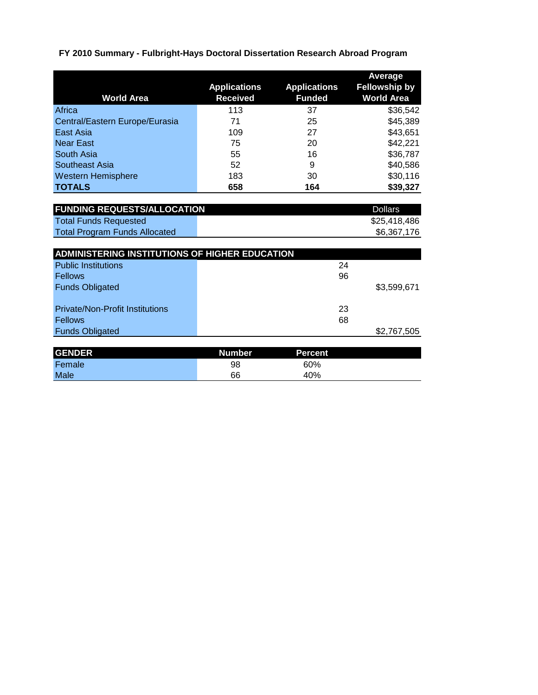## **FY 2010 Summary - Fulbright-Hays Doctoral Dissertation Research Abroad Program**

|                                                |                                        |                                      | Average<br><b>Fellowship by</b> |
|------------------------------------------------|----------------------------------------|--------------------------------------|---------------------------------|
| <b>World Area</b>                              | <b>Applications</b><br><b>Received</b> | <b>Applications</b><br><b>Funded</b> | <b>World Area</b>               |
| Africa                                         | 113                                    | 37                                   | \$36,542                        |
| Central/Eastern Europe/Eurasia                 | 71                                     | 25                                   | \$45,389                        |
| East Asia                                      | 109                                    | 27                                   | \$43,651                        |
| <b>Near East</b>                               | 75                                     | 20                                   | \$42,221                        |
| South Asia                                     | 55                                     | 16                                   | \$36,787                        |
| <b>Southeast Asia</b>                          | 52                                     | 9                                    | \$40,586                        |
| <b>Western Hemisphere</b>                      | 183                                    | 30                                   | \$30,116                        |
| <b>TOTALS</b>                                  | 658                                    | 164                                  | \$39,327                        |
|                                                |                                        |                                      |                                 |
| <b>FUNDING REQUESTS/ALLOCATION</b>             |                                        |                                      | <b>Dollars</b>                  |
| <b>Total Funds Requested</b>                   |                                        |                                      | \$25,418,486                    |
| <b>Total Program Funds Allocated</b>           |                                        |                                      | \$6,367,176                     |
|                                                |                                        |                                      |                                 |
| ADMINISTERING INSTITUTIONS OF HIGHER EDUCATION |                                        |                                      |                                 |
| <b>Public Institutions</b>                     |                                        | 24                                   |                                 |
| <b>Fellows</b>                                 |                                        | 96                                   |                                 |
| <b>Funds Obligated</b>                         |                                        |                                      | \$3,599,671                     |
|                                                |                                        |                                      |                                 |
| <b>Private/Non-Profit Institutions</b>         |                                        | 23                                   |                                 |
| <b>Fellows</b>                                 |                                        | 68                                   |                                 |
| <b>Funds Obligated</b>                         |                                        |                                      | \$2,767,505                     |
|                                                |                                        |                                      |                                 |
| <b>GENDER</b>                                  | <b>Number</b>                          | <b>Percent</b>                       |                                 |
| Female                                         | 98                                     | 60%                                  |                                 |
| Male                                           | 66                                     | 40%                                  |                                 |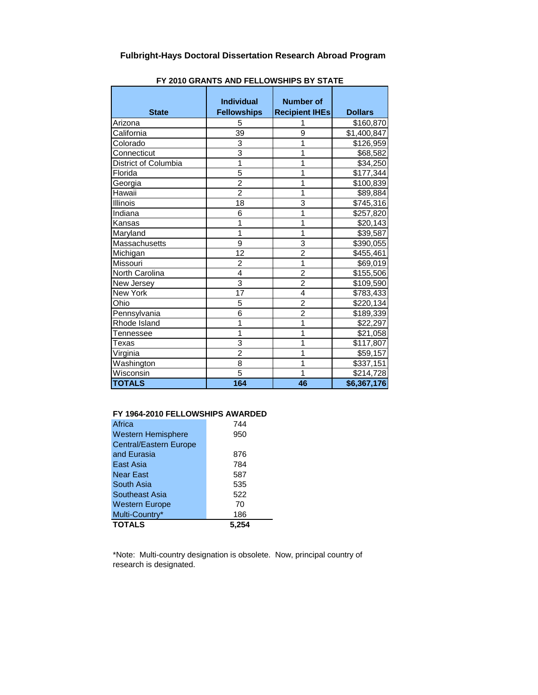| <b>State</b>         | <b>Individual</b><br><b>Fellowships</b> | <b>Number of</b><br><b>Recipient IHEs</b> | <b>Dollars</b>        |
|----------------------|-----------------------------------------|-------------------------------------------|-----------------------|
| Arizona              | 5                                       | 1                                         | \$160,870             |
| California           | 39                                      | 9                                         | \$1,400,847           |
| Colorado             | 3                                       | 1                                         | \$126,959             |
| Connecticut          | 3                                       | 1                                         | \$68,582              |
| District of Columbia | 1                                       | 1                                         | \$34,250              |
| Florida              | 5                                       | 1                                         | \$177,344             |
| Georgia              | $\overline{2}$                          | 1                                         | \$100,839             |
| Hawaii               | $\overline{c}$                          | 1                                         | \$89,884              |
| Illinois             | 18                                      | 3                                         | \$745,316             |
| Indiana              | 6                                       | 1                                         | \$257,820             |
| Kansas               | 1                                       | 1                                         | \$20,143              |
| Maryland             | 1                                       | 1                                         | \$39,587              |
| Massachusetts        | 9                                       | 3                                         | \$390,055             |
| Michigan             | 12                                      | $\overline{2}$                            | \$455,461             |
| Missouri             | $\overline{c}$                          | 1                                         | \$69,019              |
| North Carolina       | 4                                       | $\overline{2}$                            | \$155,506             |
| New Jersey           | 3                                       | $\overline{2}$                            | \$109,590             |
| New York             | 17                                      | 4                                         | \$783,433             |
| Ohio                 | 5                                       | $\overline{2}$                            | \$220,134             |
| Pennsylvania         | 6                                       | $\overline{2}$                            | \$189,339             |
| Rhode Island         | 1                                       | 1                                         | \$22,297              |
| Tennessee            | 1                                       | 1                                         | \$21,058              |
| Texas                | 3                                       | 1                                         | $\overline{$}117,807$ |
| Virginia             | $\overline{2}$                          | 1                                         | \$59,157              |
| Washington           | 8                                       | 1                                         | \$337,151             |
| Wisconsin            | 5                                       | 1                                         | \$214,728             |
| <b>TOTALS</b>        | 164                                     | 46                                        | \$6,367,176           |

**FY 2010 GRANTS AND FELLOWSHIPS BY STATE**

## **FY 1964-2010 FELLOWSHIPS AWARDED**

| <b>TOTALS</b>                 | 5.254 |
|-------------------------------|-------|
| Multi-Country*                | 186   |
| <b>Western Europe</b>         | 70    |
| Southeast Asia                | 522   |
| South Asia                    | 535   |
| <b>Near East</b>              | 587   |
| East Asia                     | 784   |
| and Eurasia                   | 876   |
| <b>Central/Eastern Europe</b> |       |
| Western Hemisphere            | 950   |
| Africa                        | 744   |

\*Note: Multi-country designation is obsolete. Now, principal country of research is designated.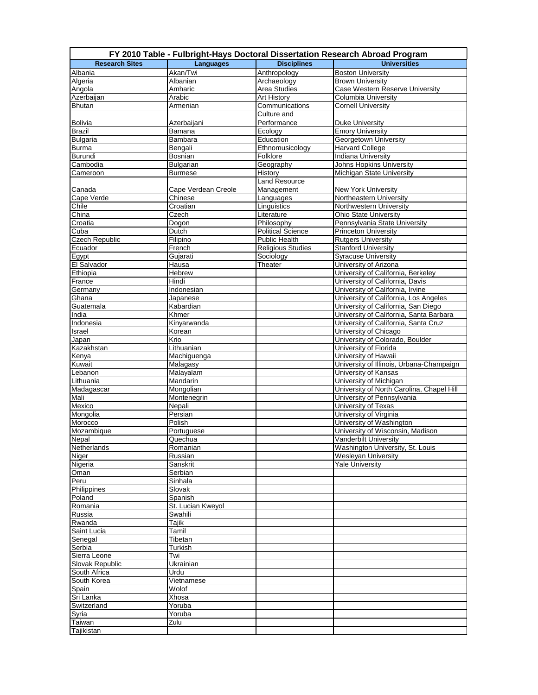|                                 |                         |                            | FY 2010 Table - Fulbright-Hays Doctoral Dissertation Research Abroad Program |
|---------------------------------|-------------------------|----------------------------|------------------------------------------------------------------------------|
| <b>Research Sites</b>           | Languages               | <b>Disciplines</b>         | <b>Universities</b>                                                          |
| Albania                         | Akan/Twi                | Anthropology               | <b>Boston University</b>                                                     |
| Algeria                         | Albanian                | Archaeology                | <b>Brown University</b>                                                      |
| Angola                          | Amharic                 | Area Studies               | Case Western Reserve University                                              |
| Azerbaijan                      | Arabic                  | Art History                | Columbia University                                                          |
| <b>Bhutan</b>                   | Armenian                | Communications             | <b>Cornell University</b>                                                    |
|                                 |                         | Culture and<br>Performance |                                                                              |
| <b>Bolivia</b>                  | Azerbaijani             | Ecology                    | <b>Duke University</b>                                                       |
| <b>Brazil</b>                   | Bamana                  | Education                  | <b>Emory University</b>                                                      |
| <b>Bulgaria</b><br><b>Burma</b> | Bambara<br>Bengali      | Ethnomusicology            | Georgetown University<br><b>Harvard College</b>                              |
| <b>Burundi</b>                  | Bosnian                 | Folklore                   | <b>Indiana University</b>                                                    |
| Cambodia                        | Bulgarian               | Geography                  | Johns Hopkins University                                                     |
| Cameroon                        | <b>Burmese</b>          | History                    | Michigan State University                                                    |
|                                 |                         | <b>Land Resource</b>       |                                                                              |
| Canada                          | Cape Verdean Creole     | Management                 | <b>New York University</b>                                                   |
| Cape Verde                      | Chinese                 | Languages                  | Northeastern University                                                      |
| Chile                           | Croatian                | Linguistics                | Northwestern University                                                      |
| China                           | Czech                   | Literature                 | <b>Ohio State University</b>                                                 |
| Croatia                         | Dogon                   | Philosophy                 | Pennsylvania State University                                                |
| Cuba                            | Dutch                   | <b>Political Science</b>   | <b>Princeton University</b>                                                  |
| Czech Republic                  | Filipino                | Public Health              | <b>Rutgers University</b>                                                    |
| Ecuador                         | French                  | <b>Religious Studies</b>   | <b>Stanford University</b>                                                   |
| Egypt                           | Gujarati                | Sociology                  | <b>Syracuse University</b>                                                   |
| El Salvador                     | Hausa                   | Theater                    | University of Arizona                                                        |
| Ethiopia                        | <b>Hebrew</b>           |                            | University of California, Berkeley                                           |
| France                          | Hindi                   |                            | University of California, Davis                                              |
| Germany                         | Indonesian              |                            | University of California, Irvine                                             |
| Ghana                           | Japanese                |                            | University of California, Los Angeles                                        |
| Guatemala                       | Kabardian               |                            | University of California, San Diego                                          |
| India                           | Khmer                   |                            | University of California, Santa Barbara                                      |
| Indonesia                       | Kinyarwanda             |                            | University of California, Santa Cruz                                         |
| Israel                          | Korean                  |                            | University of Chicago                                                        |
| Japan                           | Krio                    |                            | University of Colorado, Boulder                                              |
| Kazakhstan                      | Lithuanian              |                            | University of Florida<br>University of Hawaii                                |
| Kenya<br>Kuwait                 | Machiguenga<br>Malagasy |                            | University of Illinois, Urbana-Champaign                                     |
| Lebanon                         | Malayalam               |                            | University of Kansas                                                         |
| Lithuania                       | Mandarin                |                            | University of Michigan                                                       |
| Madagascar                      | Mongolian               |                            | University of North Carolina, Chapel Hill                                    |
| Mali                            | Montenegrin             |                            | University of Pennsylvania                                                   |
| Mexico                          | Nepali                  |                            | University of Texas                                                          |
| Mongolia                        | Persian                 |                            | University of Virginia                                                       |
| Morocco                         | Polish                  |                            | University of Washington                                                     |
| Mozambique                      | Portuguese              |                            | University of Wisconsin, Madison                                             |
| Nepal                           | Quechua                 |                            | Vanderbilt University                                                        |
| Netherlands                     | Romanian                |                            | Washington University, St. Louis                                             |
| Niger                           | Russian                 |                            | <b>Wesleyan University</b>                                                   |
| Nigeria                         | Sanskrit                |                            | <b>Yale University</b>                                                       |
| Oman                            | Serbian                 |                            |                                                                              |
| Peru                            | Sinhala                 |                            |                                                                              |
| Philippines                     | Slovak                  |                            |                                                                              |
| Poland                          | Spanish                 |                            |                                                                              |
| Romania                         | St. Lucian Kweyol       |                            |                                                                              |
| Russia                          | Swahili                 |                            |                                                                              |
| Rwanda                          | Tajik                   |                            |                                                                              |
| Saint Lucia                     | Tamil                   |                            |                                                                              |
| Senegal                         | Tibetan                 |                            |                                                                              |
| Serbia                          | Turkish                 |                            |                                                                              |
| Sierra Leone                    | Twi                     |                            |                                                                              |
| Slovak Republic<br>South Africa | Ukrainian<br>Urdu       |                            |                                                                              |
| South Korea                     | Vietnamese              |                            |                                                                              |
| Spain                           | Wolof                   |                            |                                                                              |
| Sri Lanka                       | Xhosa                   |                            |                                                                              |
| Switzerland                     | Yoruba                  |                            |                                                                              |
| Syria                           | Yoruba                  |                            |                                                                              |
| Taiwan                          | Zulu                    |                            |                                                                              |
| Tajikistan                      |                         |                            |                                                                              |
|                                 |                         |                            |                                                                              |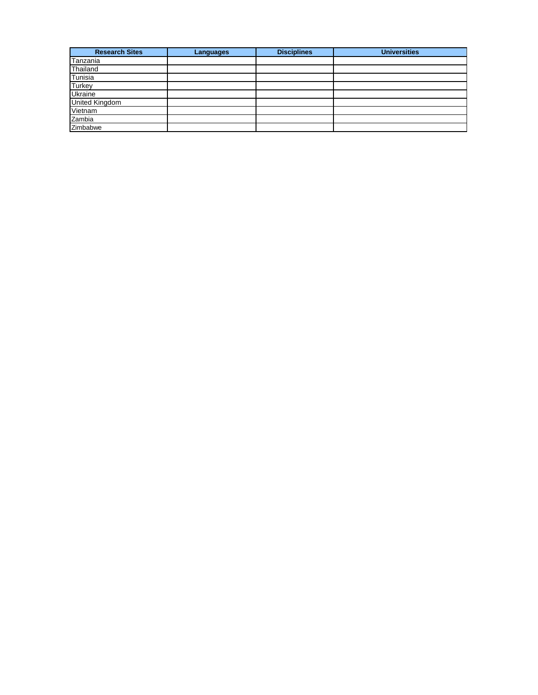| <b>Research Sites</b> | Languages | <b>Disciplines</b> | <b>Universities</b> |
|-----------------------|-----------|--------------------|---------------------|
| Tanzania              |           |                    |                     |
| Thailand              |           |                    |                     |
| Tunisia               |           |                    |                     |
| Turkey                |           |                    |                     |
| Ukraine               |           |                    |                     |
| <b>United Kingdom</b> |           |                    |                     |
| Vietnam               |           |                    |                     |
| Zambia                |           |                    |                     |
| Zimbabwe              |           |                    |                     |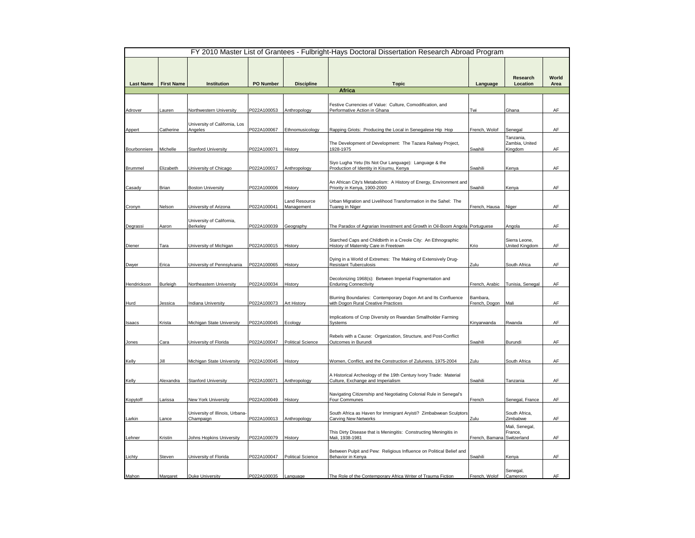|                  |                   |                                              |                  |                             | FY 2010 Master List of Grantees - Fulbright-Hays Doctoral Dissertation Research Abroad Program          |                            |                                        |               |
|------------------|-------------------|----------------------------------------------|------------------|-----------------------------|---------------------------------------------------------------------------------------------------------|----------------------------|----------------------------------------|---------------|
| <b>Last Name</b> | <b>First Name</b> | Institution                                  | <b>PO Number</b> | <b>Discipline</b>           | <b>Topic</b>                                                                                            | Language                   | Research<br>Location                   | World<br>Area |
|                  |                   |                                              |                  |                             | Africa                                                                                                  |                            |                                        |               |
| Adrover          | Lauren            | Northwestern University                      | P022A100053      | Anthropology                | Festive Currencies of Value: Culture, Comodification, and<br>Performative Action in Ghana               | Twi                        | Ghana                                  | AF            |
|                  |                   | University of California, Los                |                  |                             |                                                                                                         |                            |                                        |               |
| Appert           | Catherine         | Angeles                                      | P022A100067      | Ethnomusicology             | Rapping Griots: Producing the Local in Senegalese Hip Hop                                               | French, Wolof              | Senegal                                | AF            |
| Bourbonniere     | Michelle          | <b>Stanford University</b>                   | P022A100071      | History                     | The Development of Development: The Tazara Railway Project,<br>1928-1975                                | Swahili                    | Tanzania,<br>Zambia, United<br>Kingdom | AF            |
|                  |                   |                                              |                  |                             |                                                                                                         |                            |                                        |               |
| Brummel          | Elizabeth         | University of Chicago                        | P022A100017      | Anthropology                | Siyo Lugha Yetu (Its Not Our Language): Language & the<br>Production of Identity in Kisumu, Kenya       | Swahili                    | Kenya                                  | AF            |
|                  |                   |                                              |                  |                             |                                                                                                         |                            |                                        |               |
| Casady           | Brian             | <b>Boston University</b>                     | P022A100006      | History                     | An African City's Metabolism: A History of Energy, Environment and<br>Priority in Kenya, 1900-2000      | Swahili                    | Kenya                                  | AF            |
| Cronyn           | Nelson            | University of Arizona                        | P022A100041      | Land Resource<br>Management | Urban Migration and Livelihood Transformation in the Sahel: The<br>Tuareg in Niger                      | French, Hausa              | Niger                                  | AF            |
|                  |                   | University of California,                    |                  |                             |                                                                                                         |                            |                                        |               |
| Degrassi         | Aaron             | Berkeley                                     | P022A100039      | Geography                   | The Paradox of Agrarian Investment and Growth in Oil-Boom Angola Portuguese                             |                            | Angola                                 | AF            |
| Diener           | Tara              | Jniversity of Michigan                       | P022A100015      | History                     | Starched Caps and Childbirth in a Creole City: An Ethnographic<br>History of Maternity Care in Freetown | Krio                       | Sierra Leone,<br>United Kingdom        | AF            |
|                  |                   |                                              |                  |                             |                                                                                                         |                            |                                        |               |
| Dwyer            | Erica             | University of Pennsylvania                   | P022A100065      | History                     | Dying in a World of Extremes: The Making of Extensively Drug-<br><b>Resistant Tuberculosis</b>          | Zulu                       | South Africa                           | AF            |
|                  |                   |                                              |                  |                             |                                                                                                         |                            |                                        |               |
| Hendrickson      | Burleigh          | Northeastern University                      | P022A100034      | History                     | Decolonizing 1968(s): Between Imperial Fragmentation and<br><b>Enduring Connectivity</b>                | French, Arabic             | Tunisia, Senegal                       | AF            |
|                  |                   |                                              |                  |                             |                                                                                                         |                            |                                        |               |
| Hurd             | Jessica           | <b>Indiana University</b>                    | P022A100073      | Art History                 | Blurring Boundaries: Contemporary Dogon Art and Its Confluence<br>with Dogon Rural Creative Practices   | Bambara,<br>French, Dogon  | Mali                                   | AF            |
|                  |                   |                                              |                  |                             |                                                                                                         |                            |                                        |               |
| Isaacs           | Krista            | Michigan State University                    | P022A100045      | Ecology                     | Implications of Crop Diversity on Rwandan Smallholder Farming<br>Systems                                | Kinyarwanda                | Rwanda                                 | AF            |
| Jones            | Cara              | University of Florida                        | P022A100047      | <b>Political Science</b>    | Rebels with a Cause: Organization, Structure, and Post-Conflict<br>Outcomes in Burundi                  | Swahili                    | Burundi                                | AF            |
|                  |                   |                                              |                  |                             |                                                                                                         |                            |                                        |               |
| Kelly            | Jill              | Michigan State University                    | P022A100045      | History                     | Women, Conflict, and the Construction of Zuluness, 1975-2004                                            | Zulu                       | South Africa                           | AF            |
| Kelly            | Alexandra         | <b>Stanford University</b>                   | P022A100071      | Anthropology                | A Historical Archeology of the 19th Century Ivory Trade: Material<br>Culture, Exchange and Imperialism  | Swahili                    | Tanzania                               | AF            |
|                  |                   |                                              |                  |                             | Navigating Citizenship and Negotiating Colonial Rule in Senegal's                                       |                            |                                        |               |
| Kopytoff         | Larissa           | New York University                          | P022A100049      | History                     | Four Communes                                                                                           | French                     | Senegal, France                        | AF            |
| Larkin           | Lance             | University of Illinois, Urbana-<br>Champaign | P022A100013      | Anthropology                | South Africa as Haven for Immigrant Aryisti? Zimbabwean Sculptors<br><b>Carving New Networks</b>        | Zulu                       | South Africa.<br>Zimbabwe              | AF            |
|                  |                   |                                              |                  |                             | This Dirty Disease that is Meningitis: Constructing Meningitis in                                       |                            | Mali, Senegal,<br>France,              |               |
| Lehner           | Kristin           | Johns Hopkins University                     | P022A100079      | History                     | Mali. 1938-1981                                                                                         | French, Bamana Switzerland |                                        | AF            |
|                  |                   |                                              |                  |                             | Between Pulpit and Pew: Religious Influence on Political Belief and                                     |                            |                                        |               |
| Lichty           | Steven            | University of Florida                        | P022A100047      | <b>Political Science</b>    | Behavior in Kenya                                                                                       | Swahili                    | Kenya                                  | AF            |
|                  |                   |                                              |                  |                             |                                                                                                         |                            | Senegal,                               |               |
| Mahon            | Margaret          | <b>Duke University</b>                       | P022A100035      | Language                    | The Role of the Contemporary Africa Writer of Trauma Fiction                                            | French, Wolof              | Cameroon                               | AF            |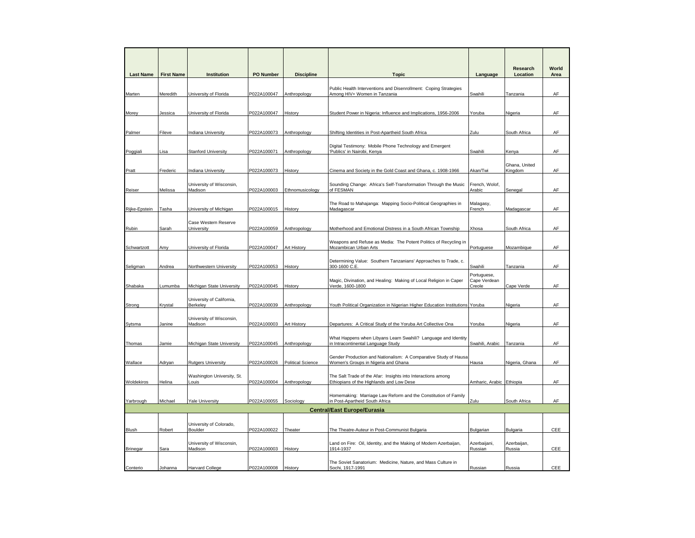| <b>Last Name</b> | <b>First Name</b> | <b>Institution</b>                    | <b>PO Number</b> | <b>Discipline</b>        | <b>Topic</b>                                                                                             | Language                              | Research<br>Location     | World<br>Area |
|------------------|-------------------|---------------------------------------|------------------|--------------------------|----------------------------------------------------------------------------------------------------------|---------------------------------------|--------------------------|---------------|
| Marten           | Meredith          | University of Florida                 | P022A100047      | Anthropology             | Public Health Interventions and Disenrollment: Coping Strategies<br>Among HIV+ Women in Tanzania         | Swahili                               | <b>Tanzania</b>          | AF            |
| Morey            | Jessica           | University of Florida                 | P022A100047      | History                  | Student Power in Nigeria: Influence and Implications, 1956-2006                                          | Yoruba                                | Nigeria                  | AF            |
| Palmer           | Fileve            | <b>Indiana University</b>             | P022A100073      | Anthropology             | Shifting Identities in Post-Apartheid South Africa                                                       | Zulu                                  | South Africa             | AF            |
| Poggiali         | Lisa              | <b>Stanford University</b>            | P022A100071      | Anthropology             | Digital Testimony: Mobile Phone Technology and Emergent<br>Publics' in Nairobi, Kenya                    | Swahili                               | Kenya                    | AF            |
| Pratt            | Frederic          | <b>Indiana University</b>             | P022A100073      | History                  | Cinema and Society in the Gold Coast and Ghana, c. 1908-1966                                             | Akan/Twi                              | Ghana, United<br>Kingdom | AF            |
| Reiser           | Melissa           | University of Wisconsin,<br>Madison   | P022A100003      | Ethnomusicology          | Sounding Change: Africa's Self-Transformation Through the Music<br>of FESMAN                             | French, Wolof,<br>Arabic              | Senegal                  | AF            |
| Rijke-Epstein    | Tasha             | University of Michigan                | P022A100015      | History                  | The Road to Mahajanga: Mapping Socio-Political Geographies in<br>Madagascar                              | Malagasy,<br>French                   | Madagascar               | AF            |
| Rubin            | Sarah             | Case Western Reserve<br>University    | P022A100059      | Anthropology             | Motherhood and Emotional Distress in a South African Township                                            | Xhosa                                 | South Africa             | AF            |
| Schwartzott      | Amy               | University of Florida                 | P022A100047      | Art History              | Weapons and Refuse as Media: The Potent Politics of Recycling in<br>Mozambican Urban Arts                | Portuguese                            | Mozambique               | AF            |
| Seligman         | Andrea            | Northwestern University               | P022A100053      | History                  | Determining Value: Southern Tanzanians' Approaches to Trade, c.<br>300-1600 C.E.                         | Swahili                               | Tanzania                 | AF            |
| Shabaka          | Lumumba           | Michigan State University             | P022A100045      | History                  | Magic, Divination, and Healing: Making of Local Religion in Caper<br>Verde, 1600-1800                    | Portuguese,<br>Cape Verdean<br>Creole | Cape Verde               | AF            |
| Strong           | Krystal           | University of California,<br>Berkeley | P022A100039      | Anthropology             | Youth Political Organization in Nigerian Higher Education Institutions Yoruba                            |                                       | Nigeria                  | AF            |
| Sytsma           | Janine            | University of Wisconsin,<br>Madison   | P022A100003      | Art History              | Departures: A Critical Study of the Yoruba Art Collective Ona                                            | Yoruba                                | Nigeria                  | AF            |
| Thomas           | Jamie             | Michigan State University             | P022A100045      | Anthropology             | What Happens when Libyans Learn Swahili? Language and Identity<br>in Intracontinental Language Study     | Swahili, Arabic                       | Tanzania                 | AF            |
| Wallace          | Adryan            | <b>Rutgers University</b>             | P022A100026      | <b>Political Science</b> | Gender Production and Nationalism: A Comparative Study of Hausa<br>Women's Groups in Nigeria and Ghana   | Hausa                                 | Nigeria, Ghana           | AF            |
| Woldekiros       | Helina            | Washington University, St.<br>Louis   | P022A100004      | Anthropology             | The Salt Trade of the Afar: Insights into Interactions among<br>Ethiopians of the Highlands and Low Dese | Amharic, Arabic Ethiopia              |                          | AF            |
| Yarbrough        | Michael           | <b>Yale University</b>                | P022A100055      | Sociology                | Homemaking: Marriage Law Reform and the Constitution of Family<br>n Post-Apartheid South Africa          | Zulu                                  | South Africa             | AF            |
|                  |                   |                                       |                  |                          | <b>Central/East Europe/Eurasia</b>                                                                       |                                       |                          |               |
| Blush            | Robert            | University of Colorado,<br>Boulder    | P022A100022      | Theater                  | The Theatre-Auteur in Post-Communist Bulgaria                                                            | Bulgarian                             | Bulgaria                 | CEE           |
| Brinegar         | Sara              | University of Wisconsin,<br>Madison   | P022A100003      | History                  | Land on Fire: Oil, Identity, and the Making of Modern Azerbaijan,<br>1914-1937                           | Azerbaijani,<br>Russian               | Azerbaijan,<br>Russia    | CEE           |
| Conterio         | Johanna           | <b>Harvard College</b>                | P022A100008      | History                  | The Soviet Sanatorium: Medicine, Nature, and Mass Culture in<br>Sochi, 1917-1991                         | Russian                               | Russia                   | <b>CEE</b>    |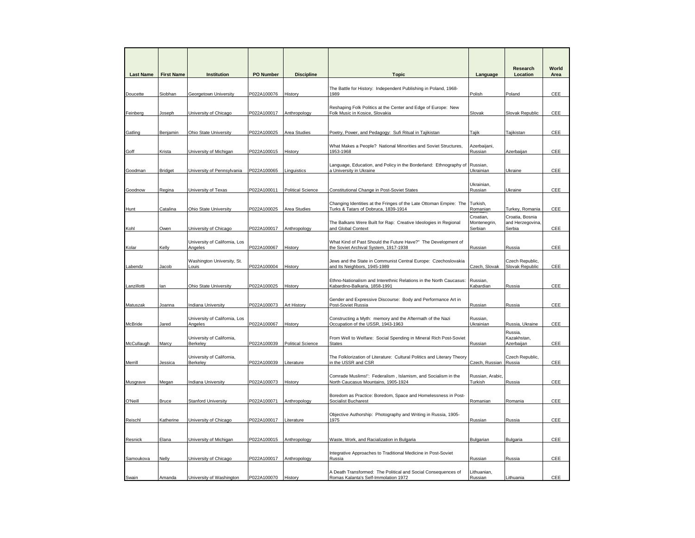| <b>Last Name</b> | <b>First Name</b> | Institution                              | PO Number   | <b>Discipline</b>        | <b>Topic</b>                                                                                               | Language                             | Research<br>Location                          | World<br>Area |
|------------------|-------------------|------------------------------------------|-------------|--------------------------|------------------------------------------------------------------------------------------------------------|--------------------------------------|-----------------------------------------------|---------------|
| Doucette         | Siobhan           | <b>Georgetown University</b>             | P022A100076 | History                  | The Battle for History: Independent Publishing in Poland, 1968-<br>1989                                    | Polish                               | Poland                                        | <b>CEE</b>    |
|                  |                   |                                          |             |                          |                                                                                                            |                                      |                                               |               |
| Feinberg         | Joseph            | University of Chicago                    | P022A100017 | Anthropology             | Reshaping Folk Politics at the Center and Edge of Europe: New<br>Folk Music in Kosice, Slovakia            | Slovak                               | Slovak Republic                               | CEE           |
|                  |                   |                                          |             |                          |                                                                                                            |                                      |                                               |               |
| Gatling          | Benjamin          | Ohio State University                    | P022A100025 | Area Studies             | Poetry, Power, and Pedagogy: Sufi Ritual in Tajikistan                                                     | Tajik                                | Tajikistan                                    | CEE           |
| Goff             | Krista            | University of Michigan                   | P022A100015 | History                  | What Makes a People? National Minorities and Soviet Structures,<br>1953-1968                               | Azerbaijani,<br>Russian              | Azerbaijan                                    | CEE           |
| Goodman          | <b>Bridget</b>    | <b>Jniversity of Pennsylvania</b>        | P022A100065 | Linguistics              | Language, Education, and Policy in the Borderland: Ethnography of<br>a University in Ukraine               | Russian,<br><b>Jkrainian</b>         | Ukraine                                       | CEE           |
| Goodnow          | Regina            | University of Texas                      | P022A100011 | <b>Political Science</b> | Constitutional Change in Post-Soviet States                                                                | Ukrainian,<br>Russian                | Ukraine                                       | CEE           |
| <b>Hunt</b>      | Catalina          | Ohio State University                    | P022A100025 | Area Studies             | Changing Identities at the Fringes of the Late Ottoman Empire: The<br>Turks & Tatars of Dobruca, 1839-1914 | Turkish,<br>Romanian                 | Turkey, Romania                               | CEE           |
| Kohl             | Owen              | University of Chicago                    | P022A100017 | Anthropology             | The Balkans Were Built for Rap: Creative Ideologies in Regional<br>and Global Context                      | Croatian,<br>Montenegrin,<br>Serbian | Croatia, Bosnia<br>and Herzegovina,<br>Serbia | CEE           |
| Kolar            | Kelly             | University of California, Los<br>Angeles | P022A100067 | History                  | What Kind of Past Should the Future Have?" The Development of<br>the Soviet Archival System, 1917-1938     | Russian                              | Russia                                        | CEE           |
| Labendz          | Jacob             | Washington University, St.<br>Louis      | P022A100004 | History                  | Jews and the State in Communist Central Europe: Czechoslovakia<br>and Its Neighbors, 1945-1989             | Czech, Slovak                        | Czech Republic,<br>Slovak Republic            | CEE           |
|                  |                   |                                          |             |                          | Ethno-Nationalism and Interethnic Relations in the North Caucasus:                                         | Russian,                             |                                               |               |
| Lanzillotti      | lan               | Ohio State University                    | P022A100025 | History                  | Kabardino-Balkaria, 1858-1991                                                                              | Kabardian                            | Russia                                        | CEE           |
| Matuszak         | Joanna            | Indiana University                       | P022A100073 | Art History              | Gender and Expressive Discourse: Body and Performance Art in<br>Post-Soviet Russia                         | Russian                              | Russia                                        | CEE           |
| McBride          | Jared             | University of California, Los<br>Angeles | P022A100067 | History                  | Constructing a Myth: memory and the Aftermath of the Nazi<br>Occupation of the USSR, 1943-1963             | Russian,<br>Ukrainian                | Russia, Ukraine                               | CEE           |
| McCullaugh       | Marcy             | University of California,<br>Berkeley    | P022A100039 | <b>Political Science</b> | From Well to Welfare: Social Spending in Mineral Rich Post-Soviet<br><b>States</b>                         | Russian                              | Russia,<br>Kazakhstan,<br>Azerbaijan          | CEE           |
| Merrill          | Jessica           | University of California,<br>Berkeley    | P022A100039 | Literature               | The Folklorization of Literature: Cultural Politics and Literary Theory<br>in the USSR and CSR             | Czech, Russian Russia                | Czech Republic,                               | CEE           |
| Musgrave         | Megan             | <b>Indiana University</b>                | P022A100073 | History                  | Comrade Muslims!": Federalism, Islamism, and Socialism in the<br>North Caucasus Mountains, 1905-1924       | Russian, Arabic,<br>Turkish          | Russia                                        | <b>CEE</b>    |
| O'Neill          | Bruce             | <b>Stanford University</b>               | P022A100071 | Anthropology             | Boredom as Practice: Boredom, Space and Homelessness in Post-<br>Socialist Bucharest                       | Romanian                             | Romania                                       | CEE           |
| Reischl          | Katherine         | University of Chicago                    | P022A100017 | Literature               | Objective Authorship: Photography and Writing in Russia, 1905-<br>1975                                     | Russian                              | Russia                                        | CEE           |
|                  |                   |                                          |             |                          |                                                                                                            |                                      |                                               |               |
| Resnick          | Elana             | University of Michigan                   | P022A100015 | Anthropology             | Waste, Work, and Racialization in Bulgaria                                                                 | Bulgarian                            | Bulgaria                                      | CEE           |
|                  |                   |                                          |             |                          | Integrative Approaches to Traditional Medicine in Post-Soviet                                              |                                      |                                               |               |
| Samoukova        | Nelly             | University of Chicago                    | P022A100017 | Anthropology             | Russia                                                                                                     | Russian                              | Russia                                        | CEE           |
| Swain            | Amanda            | University of Washington                 | P022A100070 | History                  | A Death Transformed: The Political and Social Consequences of<br>Romas Kalanta's Self-Immolation 1972      | Lithuanian,<br>Russian               | ithuania                                      | CEE           |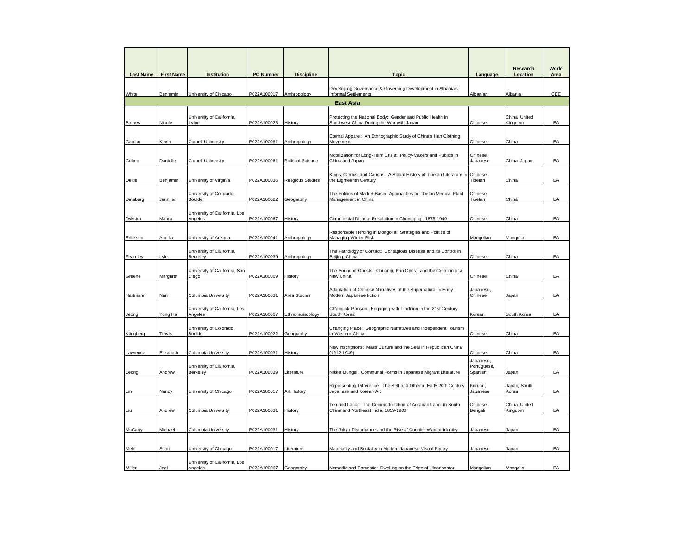| <b>Last Name</b>     | <b>First Name</b> | Institution                              | <b>PO Number</b> | <b>Discipline</b>        | <b>Topic</b>                                                                                             | Language                            | Research<br>Location     | World<br>Area |
|----------------------|-------------------|------------------------------------------|------------------|--------------------------|----------------------------------------------------------------------------------------------------------|-------------------------------------|--------------------------|---------------|
|                      |                   | University of Chicago                    | P022A100017      | Anthropology             | Developing Governance & Governing Development in Albania's<br><b>Informal Settlements</b>                |                                     | Albania                  | CEE           |
| White                | Benjamin          |                                          |                  |                          | <b>East Asia</b>                                                                                         | <b>Albanian</b>                     |                          |               |
|                      |                   |                                          |                  |                          |                                                                                                          |                                     |                          |               |
| Barnes               | Nicole            | University of California,<br>Irvine      | P022A100023      | History                  | Protecting the National Body: Gender and Public Health in<br>Southwest China During the War with Japan   | Chinese                             | China, United<br>Kingdom | EA            |
| Carrico              | Kevin             | <b>Cornell University</b>                | P022A100061      | Anthropology             | Eternal Apparel; An Ethnographic Study of China's Han Clothing<br>Movement                               | Chinese                             | China                    | EA            |
| Cohen                | Danielle          | <b>Cornell University</b>                | P022A100061      | <b>Political Science</b> | Mobilization for Long-Term Crisis: Policy-Makers and Publics in<br>China and Japan                       | Chinese,<br>Japanese                | China, Japan             | EA            |
| Deitle               | Benjamin          | University of Virginia                   | P022A100036      | <b>Religious Studies</b> | Kings, Clerics, and Canons: A Social History of Tibetan Literature in Chinese,<br>the Eighteenth Century | Tibetan                             | China                    | EA            |
| Dinaburg             | Jennifer          | University of Colorado,<br>Boulder       | P022A100022      | Geography                | The Politics of Market-Based Approaches to Tibetan Medical Plant<br>Management in China                  | Chinese,<br>Tibetan                 | China                    | EA            |
| Dykstra              | Maura             | University of California, Los<br>Angeles | P022A100067      | History                  | Commercial Dispute Resolution in Chongqing: 1875-1949                                                    | Chinese                             | China                    | EA            |
|                      | Annika            | University of Arizona                    | P022A100041      | Anthropology             | Responsible Herding in Mongolia: Strategies and Politics of<br><b>Managing Winter Risk</b>               | Mongolian                           | Mongolia                 | EA            |
| Erickson<br>Fearnley | Lyle              | University of California,<br>Berkeley    | P022A100039      | Anthropology             | The Pathology of Contact: Contagious Disease and its Control in<br>Beijing, China                        | Chinese                             | China                    | EA            |
| Greene               | Margaret          | University of California, San<br>Diego   | P022A100069      | History                  | The Sound of Ghosts: Chuanqi, Kun Opera, and the Creation of a<br>New China                              | Chinese                             | China                    | EA            |
| Hartmann             | Nan               | Columbia University                      | P022A100031      | Area Studies             | Adaptation of Chinese Narratives of the Supernatural in Early<br>Modern Japanese fiction                 | Japanese,<br>Chinese                | Japan                    | EA            |
| Jeong                | Yong Ha           | University of California, Los<br>Angeles | P022A100067      | Ethnomusicology          | Ch'angjak P'ansori: Engaging with Tradition in the 21st Century<br>South Korea                           | Korean                              | South Korea              | EA            |
| Klingberg            | Travis            | University of Colorado,<br>Boulder       | P022A100022      | Geography                | Changing Place: Geographic Narratives and Independent Tourism<br>in Western China                        | Chinese                             | China                    | EA            |
| Lawrence             | Elizabeth         | Columbia University                      | P022A100031      | History                  | New Inscriptions: Mass Culture and the Seal in Republican China<br>$(1912 - 1949)$                       | Chinese                             | China                    | EA            |
| Leong                | Andrew            | University of California,<br>Berkeley    | P022A100039      | Literature               | Nikkei Bungei: Communal Forms in Japanese Migrant Literature                                             | Japanese,<br>Portuguese,<br>Spanish | Japan                    | EA            |
| Lin.                 | Nancy             | University of Chicago                    | P022A100017      | Art History              | Representing Difference: The Self and Other in Early 20th Century<br>Japanese and Korean Art             | Korean,<br>Japanese                 | Japan, South<br>Korea    | EA            |
| Liu                  | Andrew            | Columbia University                      | P022A100031      | History                  | Tea and Labor: The Commoditization of Agrarian Labor in South<br>China and Northeast India, 1839-1900    | Chinese,<br>Bengali                 | China, United<br>Kingdom | EA            |
| <b>McCarty</b>       | Michael           | Columbia University                      | P022A100031      | History                  | The Jokyu Disturbance and the Rise of Courtier-Warrior Identity                                          | Japanese                            | Japan                    | EA            |
| Mehl                 | Scott             | University of Chicago                    | P022A100017      | _iterature               | Materiality and Sociality in Modern Japanese Visual Poetry                                               | Japanese                            | Japan                    | EA            |
|                      |                   | University of California, Los            |                  |                          |                                                                                                          |                                     |                          |               |
| Miller               | Joel              | Angeles                                  | P022A100067      | Geography                | Nomadic and Domestic: Dwelling on the Edge of Ulaanbaatar                                                | Mongolian                           | Mongolia                 | EA            |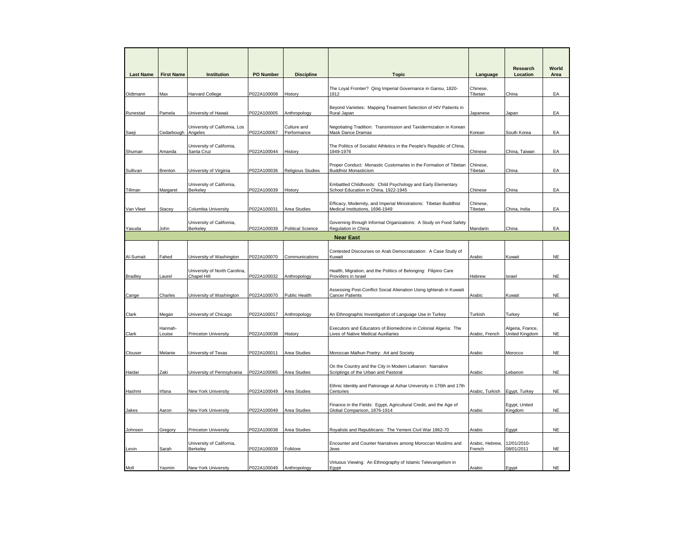| <b>Last Name</b> | <b>First Name</b> | <b>Institution</b>                                | <b>PO Number</b>           | <b>Discipline</b>          | <b>Topic</b>                                                                                                                                                            | Language                  | Research<br>Location               | World<br>Area          |
|------------------|-------------------|---------------------------------------------------|----------------------------|----------------------------|-------------------------------------------------------------------------------------------------------------------------------------------------------------------------|---------------------------|------------------------------------|------------------------|
| Oidtmann         | Max               | <b>Harvard College</b>                            | P022A100008                | History                    | The Loyal Frontier? Qing Imperial Governance in Gansu, 1820-<br>1912                                                                                                    | Chinese,<br>Tibetan       | China                              | EA                     |
| Runestad         | Pamela            | University of Hawaii                              | P022A100005                | Anthropology               | Beyond Varieties: Mapping Treatment Selection of HIV Patients in<br>Rural Japan                                                                                         | Japanese                  | lapan                              | EA                     |
| Saeji            | Cedarbough        | University of California, Los<br>Angeles          | P022A100067                | Culture and<br>Performance | Negotiating Tradition: Transmission and Taxidermization in Korean<br>Mask Dance Dramas                                                                                  | Korean                    | South Korea                        | EA                     |
| Shuman           | Amanda            | University of California,<br>Santa Cruz           | P022A100044                | History                    | The Politics of Socialist Athletics in the People's Republic of China,<br>1949-1976                                                                                     | Chinese                   | China, Taiwan                      | EA                     |
| Sullivan         | Brenton           | University of Virginia                            | P022A100036                | Religious Studies          | Proper Conduct: Monastic Customaries in the Formation of Tibetan<br><b>Buddhist Monasticism</b>                                                                         | Chinese,<br>Tibetan       | China                              | EA                     |
| Tillman          | Margaret          | University of California,<br>Berkeley             | P022A100039                | History                    | Embattled Childhoods: Child Psychology and Early Elementary<br>School Education in China, 1922-1945                                                                     | Chinese                   | China                              | EA                     |
| Van Vleet        | Stacey            | Columbia University                               | P022A100031                | Area Studies               | Efficacy, Modernity, and Imperial Ministrations: Tibetan Buddhist<br>Medical Institutions, 1696-1949                                                                    | Chinese,<br>Tibetan       | China, India                       | EA                     |
| Yasuda           | John              | University of California,<br>Berkeley             | P022A100039                | <b>Political Science</b>   | Governing through Informal Organizations: A Study on Food Safety<br>Regulation in China<br><b>Near East</b>                                                             | Mandarin                  | China                              | EA                     |
| Al-Sumait        | Fahed             | University of Washington                          | P022A100070                | Communications             | Contested Discourses on Arab Democratization: A Case Study of<br>Kuwait                                                                                                 | Arabic                    | Kuwait                             | <b>NE</b>              |
| <b>Bradley</b>   | Laurel            | University of North Carolina,<br>Chapel Hill      | P022A100032                | Anthropology               | Health, Migration, and the Politics of Belonging: Filipino Care<br>Providers in Israel                                                                                  | Hebrew                    | Israel                             | <b>NE</b>              |
| Cange            | Charles           | University of Washington                          | P022A100070                | Public Health              | Assessing Post-Conflict Social Alienation Using Ighterab in Kuwaiti<br><b>Cancer Patients</b>                                                                           | Arabic                    | Kuwait                             | <b>NE</b>              |
| Clark            | Megan             | University of Chicago                             | P022A100017                | Anthropology               | An Ethnographic Investigation of Language Use in Turkey                                                                                                                 | Turkish                   | Turkey                             | <b>NE</b>              |
| Clark            | Hannah-<br>Louise | Princeton University                              | P022A100038                | History                    | Executors and Educators of Biomedicine in Colonial Algeria: The<br>Lives of Native Medical Auxiliaries                                                                  | Arabic, French            | Algeria, France,<br>United Kingdom | <b>NE</b>              |
| Clouser          | Melanie           | University of Texas                               | P022A100011                | Area Studies               | Moroccan Malhun Poetry: Art and Society                                                                                                                                 | Arabic                    | Morocco                            | <b>NE</b>              |
| Haidar           | Zaki              | University of Pennsylvania                        | P022A100065                | Area Studies               | On the Country and the City in Modern Lebanon: Narrative<br>Scriptings of the Urban and Pastoral<br>Ethnic Identity and Patronage at Azhar University in 176th and 17th | Arabic                    | ebanon                             | <b>NE</b>              |
| Hashmi           | Irfana            | <b>New York University</b>                        | P022A100049                | Area Studies               | Centuries<br>Finance in the Fields: Egypt, Agricultural Credit, and the Age of                                                                                          | Arabic, Turkish           | Egypt, Turkey<br>Egypt, United     | <b>NE</b>              |
| Jakes            | Aaron             | New York University                               | P022A100049                | Area Studies               | Global Comparison, 1876-1914                                                                                                                                            | Arabic                    | Kingdom                            | $_{\rm NE}$            |
| Johnsen          | Gregory           | Princeton University<br>University of California, | P022A100038                | Area Studies               | Royalists and Republicans: The Yemeni Civil War 1962-70<br>Encounter and Counter Narratives among Moroccan Muslims and                                                  | Arabic<br>Arabic, Hebrew, | Egypt<br>12/01/2010-               | <b>NE</b>              |
| Levin<br>Moll    | Sarah<br>Yasmin   | Berkeley<br><b>New York University</b>            | P022A100039<br>P022A100049 | Folklore<br>Anthropology   | Jews<br>Virtuous Viewing: An Ethnography of Islamic Televangelism in                                                                                                    | French<br>Arabic          | 08/01/2011<br>Egypt                | <b>NE</b><br><b>NE</b> |
|                  |                   |                                                   |                            |                            | Eqypt                                                                                                                                                                   |                           |                                    |                        |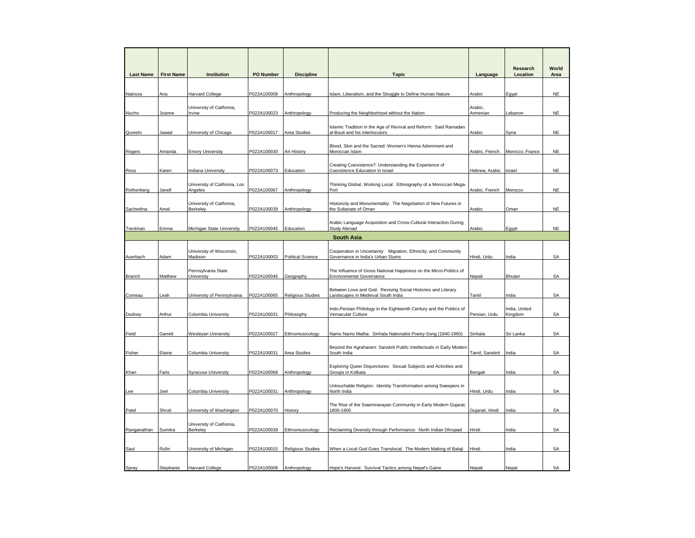|                  |                   |                                          |                  |                          |                                                                                                       |                 | Research                 | World     |
|------------------|-------------------|------------------------------------------|------------------|--------------------------|-------------------------------------------------------------------------------------------------------|-----------------|--------------------------|-----------|
| <b>Last Name</b> | <b>First Name</b> | <b>Institution</b>                       | <b>PO Number</b> | <b>Discipline</b>        | <b>Topic</b>                                                                                          | Language        | Location                 | Area      |
|                  |                   |                                          |                  |                          |                                                                                                       |                 |                          |           |
| Nakissa          | Aria              | <b>Harvard College</b>                   | P022A100008      | Anthropology             | Islam, Liberalism, and the Struggle to Define Human Nature                                            | Arabic          | Egypt                    | <b>NE</b> |
|                  |                   | University of California,                |                  |                          |                                                                                                       | Arabic,         |                          |           |
| Nucho            | Joanne            | Irvine                                   | P022A100023      | Anthropology             | Producing the Neighborhood without the Nation                                                         | Armenian        | Lebanon                  | <b>NE</b> |
|                  |                   |                                          |                  |                          | Islamic Tradition in the Age of Revival and Reform: Said Ramadan                                      |                 |                          |           |
| Qureshi          | Jawad             | University of Chicago                    | P022A100017      | Area Studies             | al-Bouti and his Interlocutors                                                                        | Arabic          | Syria                    | <b>NE</b> |
| Rogers           | Amanda            | <b>Emory University</b>                  | P022A100030      | Art History              | Blood, Skin and the Sacred: Women's Henna Adornment and<br>Moroccan Islam                             | Arabic, French  | Morocco, France          | <b>NE</b> |
| Ross             | Karen             | <b>Indiana University</b>                | P022A100073      | Education                | Creating Coexistence?: Understanding the Experience of<br>Coexistence Education in Israel             | Hebrew, Arabic  | Israel                   | <b>NE</b> |
| Rothenberg       | Janell            | University of California, Los<br>Angeles | P022A100067      | Anthropology             | Thinking Global, Working Local: Ethnography of a Moroccan Mega-<br>Port                               | Arabic, French  | Morocco                  | <b>NE</b> |
|                  |                   |                                          |                  |                          |                                                                                                       |                 |                          |           |
| Sachedina        | Amal              | University of California,<br>Berkeley    | P022A100039      | Anthropology             | Historicity and Monumentality: The Negotiation of New Futures in<br>the Sultanate of Oman             | Arabic          | Oman                     | <b>NE</b> |
|                  |                   |                                          |                  |                          | Arabic Language Acquisition and Cross-Cultural Interaction During                                     |                 |                          |           |
| Trentman         | Emma              | Michigan State University                | P022A100045      | Education                | Study Abroad                                                                                          | Arabic          | Egypt                    | <b>NE</b> |
|                  |                   |                                          |                  |                          | <b>South Asia</b>                                                                                     |                 |                          |           |
| Auerbach         | Adam              | University of Wisconsin,<br>Madison      | P022A100003      | <b>Political Science</b> | Cooperation in Uncertainty: Migration, Ethnicity, and Community<br>Governance in India's Urban Slums  | Hindi, Urdu     | ndia                     | <b>SA</b> |
| Branch           | Matthew           | Pennsylvania State<br>University         | P022A100046      | Geography                | The Influence of Gross National Happiness on the Micro-Politics of<br><b>Environmental Governance</b> | Nepali          | Bhutan                   | <b>SA</b> |
|                  |                   |                                          |                  |                          | Between Love and God: Revising Social Histories and Literary                                          |                 |                          |           |
| Comeau           | _eah              | University of Pennsylvania               | P022A100065      | <b>Religious Studies</b> | Landscapes in Medieval South India                                                                    | Tamil           | India                    | <b>SA</b> |
| Dudney           | Arthur            | Columbia University                      | P022A100031      | Philosophy               | Indo-Persian Philology in the Eighteenth Century and the Politics of<br>Vernacular Culture            | Persian, Urdu   | India, United<br>Kingdom | <b>SA</b> |
|                  |                   |                                          |                  |                          |                                                                                                       |                 |                          |           |
| Field            | Garrett           | Wesleyan University                      | P022A100027      | Ethnomusicology          | Namo Namo Matha: Sinhala Nationalist Poetry-Song (1940-1960)                                          | Sinhala         | Sri Lanka                | SA        |
|                  |                   |                                          |                  |                          | Beyond the Agraharam: Sanskrit Public Intellectuals in Early Modern<br>South India                    |                 |                          | <b>SA</b> |
| Fisher           | Elaine            | Columbia University                      | P022A100031      | Area Studies             |                                                                                                       | Tamil, Sanskrit | India                    |           |
| Khan             | Faris             | <b>Syracuse University</b>               | P022A100068      | Anthropology             | Exploring Queer Disjunctures: Sexual Subjects and Activities and<br>Groups in Kolkata                 | Bengali         | India                    | <b>SA</b> |
| Lee              | Joel              | Columbia University                      | P022A100031      | Anthropology             | Untouchable Religion: Identity Transformation among Sweepers in<br>North India                        | Hindi, Urdu     | India                    | <b>SA</b> |
|                  |                   |                                          |                  |                          | The Rise of the Swaminarayan Community in Early Modern Gujarat,                                       |                 |                          |           |
| Patel            | Shruti            | University of Washington                 | P022A100070      | History                  | 1800-1900                                                                                             | Gujarati, Hindi | ndia                     | <b>SA</b> |
|                  |                   | University of California,                |                  |                          |                                                                                                       |                 |                          |           |
| Ranganathan      | Sumitra           | <b>Berkelev</b>                          | P022A100039      | Ethnomusicology          | Reclaiming Diversity through Performance: North Indian Dhrupad                                        | Hindi           | India                    | <b>SA</b> |
| Saul             | Rufin             | University of Michigan                   | P022A100015      | <b>Religious Studies</b> | When a Local God Goes Translocal: The Modern Making of Balaji                                         | Hindi           | India                    | SA        |
|                  |                   |                                          |                  |                          |                                                                                                       |                 |                          |           |
| Spray            | Stephanie         | <b>Harvard College</b>                   | P022A100008      | Anthropology             | Hope's Harvest: Survival Tactics among Nepal's Gaine                                                  | Nepali          | Nepal                    | <b>SA</b> |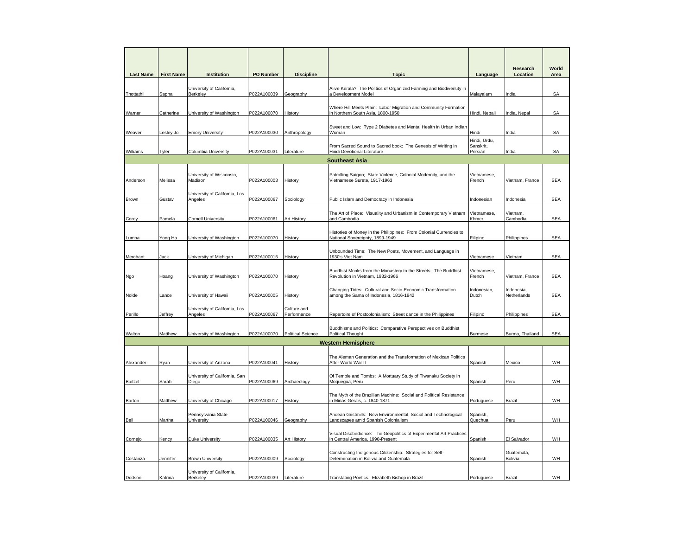| <b>Last Name</b> | <b>First Name</b> | Institution                              | PO Number              | <b>Discipline</b>          | <b>Topic</b>                                                                                          | Language                             | Research<br>Location      | World<br>Area |
|------------------|-------------------|------------------------------------------|------------------------|----------------------------|-------------------------------------------------------------------------------------------------------|--------------------------------------|---------------------------|---------------|
| Thottathil       | Sapna             | University of California,<br>Berkeley    | P022A100039            | Geography                  | Alive Kerala? The Politics of Organized Farming and Biodiversity in<br>a Development Model            | <b>Malayalam</b>                     | India                     | <b>SA</b>     |
| Warner           | Catherine         | University of Washington                 | P022A100070            | History                    | Where Hill Meets Plain: Labor Migration and Community Formation<br>in Northern South Asia, 1800-1950  | Hindi, Nepali                        | India, Nepal              | SA            |
| Weaver           | Lesley Jo         | <b>Emory University</b>                  | P022A100030            | Anthropology               | Sweet and Low: Type 2 Diabetes and Mental Health in Urban Indian<br>Woman                             | Hindi                                | India                     | SA            |
| Williams         | Tyler             | <b>Columbia University</b>               | P022A100031            | Literature                 | From Sacred Sound to Sacred book: The Genesis of Writing in<br>Hindi Devotional Literature            | Hindi, Urdu,<br>Sanskrit,<br>Persian | India                     | SA            |
|                  |                   |                                          |                        |                            | <b>Southeast Asia</b>                                                                                 |                                      |                           |               |
| Anderson         | Melissa           | University of Wisconsin,<br>Madison      | P022A100003            | History                    | Patrolling Saigon; State Violence, Colonial Modernity, and the<br>Vietnamese Surete, 1917-1963        | Vietnamese.<br>French                | Vietnam, France           | <b>SEA</b>    |
| <b>Brown</b>     | Gustav            | University of California, Los<br>Angeles | P022A100067            | Sociology                  | Public Islam and Democracy in Indonesia                                                               | Indonesian                           | Indonesia                 | <b>SEA</b>    |
| Corey            | Pamela            | <b>Cornell University</b>                | P022A100061            | Art History                | The Art of Place: Visuality and Urbanism in Contemporary Vietnam<br>and Cambodia                      | Vietnamese,<br>Khmer                 | Vietnam,<br>Cambodia      | <b>SEA</b>    |
| Lumba            | Yong Ha           | University of Washington                 | P022A100070            | History                    | Histories of Money in the Philippines: From Colonial Currencies to<br>National Sovereignty, 1899-1949 | Filipino                             | Philippines               | <b>SEA</b>    |
| Merchant         | Jack              | University of Michigan                   | P022A100015            | History                    | Unbounded Time: The New Poets, Movement, and Language in<br>1930's Viet Nam                           | <i>Vietnamese</i>                    | Vietnam                   | SEA           |
| Ngo              | Hoang             | University of Washington                 | P022A100070            | History                    | Buddhist Monks from the Monastery to the Streets: The Buddhist<br>Revolution in Vietnam, 1932-1966    | Vietnamese,<br>French                | Vietnam, France           | <b>SEA</b>    |
| Nolde            | .ance             | University of Hawaii                     | P022A100005            | History                    | Changing Tides: Cultural and Socio-Economic Transformation<br>among the Sama of Indonesia, 1816-1942  | Indonesian,<br>Dutch                 | Indonesia,<br>Netherlands | <b>SEA</b>    |
| Perillo          | Jeffrey           | University of California, Los<br>Angeles | P022A100067            | Culture and<br>Performance | Repertoire of Postcolonialism: Street dance in the Philippines                                        | Filipino                             | Philippines               | <b>SEA</b>    |
| Walton           | Matthew           | University of Washington                 | P022A100070            | <b>Political Science</b>   | Buddhisms and Politics: Comparative Perspectives on Buddhist<br><b>Political Thought</b>              | <b>Burmese</b>                       | Burma, Thailand           | <b>SEA</b>    |
|                  |                   |                                          |                        |                            | <b>Western Hemisphere</b>                                                                             |                                      |                           |               |
| Alexander        | Ryan              | University of Arizona                    | P022A100041            | History                    | The Aleman Generation and the Transformation of Mexican Politics<br>After World War II                | Spanish                              | Mexico                    | WH            |
| Baitzel          | Sarah             | University of California, San<br>Diego   | P022A100069            | Archaeology                | Of Temple and Tombs: A Mortuary Study of Tiwanaku Society in<br>Moquegua, Peru                        | Spanish                              | Peru                      | WH            |
| Barton           | Matthew           | University of Chicago                    | P022A100017            | History                    | The Myth of the Brazilian Machine: Social and Political Resistance<br>in Minas Gerais, c. 1840-1871   | Portuguese                           | Brazil                    | WH            |
| Bell             | Martha            | Pennsylvania State<br>University         | P022A100046            | Geography                  | Andean Gristmills: New Environmental, Social and Technological<br>Landscapes amid Spanish Colonialism | Spanish,<br>Quechua                  | Peru                      | WH            |
| Cornejo          | <b>Cency</b>      | <b>Duke University</b>                   | P022A100035            | <b>Art History</b>         | Visual Disobedience: The Geopolitics of Experimental Art Practices<br>n Central America, 1990-Present | <b>Spanish</b>                       | El Salvador               | WH.           |
| Costanza         | Jennifer          | <b>Brown University</b>                  | P022A100009            | Sociology                  | Constructing Indigenous Citizenship: Strategies for Self-<br>Determination in Bolivia and Guatemala   | Spanish                              | Guatemala,<br>Bolivia     | <b>WH</b>     |
| Dodson           | Katrina           | University of California,<br>Berkeley    | P022A100039 Literature |                            | Translating Poetics: Elizabeth Bishop in Brazil                                                       | Portuguese                           | <b>Brazil</b>             | <b>WH</b>     |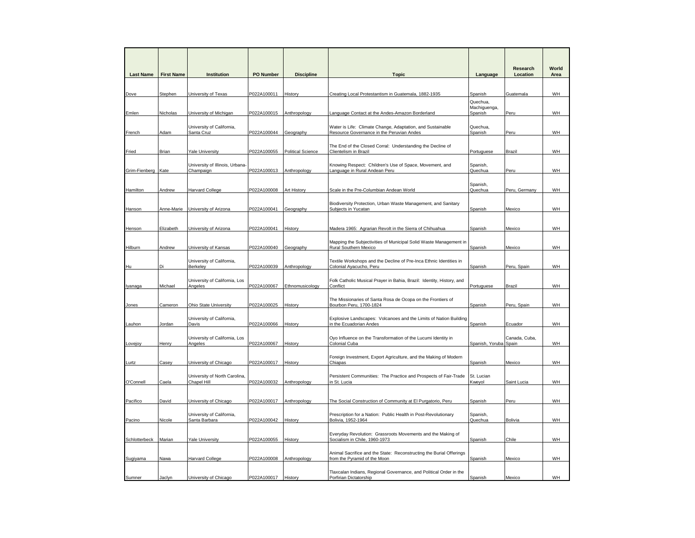| <b>Last Name</b>   | <b>First Name</b> | Institution                                  | <b>PO Number</b>    | <b>Discipline</b>        | <b>Topic</b>                                                                                 | Language              | Research<br>Location | World<br>Area |
|--------------------|-------------------|----------------------------------------------|---------------------|--------------------------|----------------------------------------------------------------------------------------------|-----------------------|----------------------|---------------|
|                    |                   |                                              |                     |                          |                                                                                              |                       |                      |               |
|                    |                   |                                              |                     |                          |                                                                                              |                       |                      |               |
| Dove               | Stephen           | University of Texas                          | P022A100011         | History                  | Creating Local Protestantism in Guatemala, 1882-1935                                         | Spanish<br>Quechua,   | Guatemala            | WH            |
|                    |                   |                                              |                     |                          |                                                                                              | Machiguenga,          |                      |               |
| Emlen              | Nicholas          | University of Michigan                       | P022A100015         | Anthropology             | Language Contact at the Andes-Amazon Borderland                                              | Spanish               | Peru                 | WH            |
|                    |                   | University of California,                    |                     |                          | Water is Life: Climate Change, Adaptation, and Sustainable                                   | Quechua,              |                      |               |
| French             | Adam              | Santa Cruz                                   | P022A100044         | Geography                | Resource Governance in the Peruvian Andes                                                    | Spanish               | Peru                 | WH            |
|                    |                   |                                              |                     |                          | The End of the Closed Corral: Understanding the Decline of                                   |                       |                      |               |
| Fried              | Brian             | <b>Yale University</b>                       | P022A100055         | <b>Political Science</b> | Clientelism in Brazil                                                                        | Portuguese            | Brazil               | WH            |
|                    |                   | University of Illinois, Urbana-              |                     |                          | Knowing Respect: Children's Use of Space, Movement, and                                      | Spanish,              |                      |               |
| Grim-Fienberg Kate |                   | Champaign                                    | P022A100013         | Anthropology             | Language in Rural Andean Peru                                                                | Quechua               | Peru                 | <b>WH</b>     |
|                    |                   |                                              |                     |                          |                                                                                              |                       |                      |               |
| Hamilton           | Andrew            | <b>Harvard College</b>                       | P022A100008         | Art History              | Scale in the Pre-Columbian Andean World                                                      | Spanish,<br>Quechua   | Peru, Germany        | WH            |
|                    |                   |                                              |                     |                          |                                                                                              |                       |                      |               |
| Hanson             | Anne-Marie        | University of Arizona                        | P022A100041         | Geography                | Biodiversity Protection, Urban Waste Management, and Sanitary<br>Subjects in Yucatan         | Spanish               | Mexico               | WH            |
|                    |                   |                                              |                     |                          |                                                                                              |                       |                      |               |
| Henson             | Elizabeth         | University of Arizona                        | P022A100041         | History                  | Madera 1965: Agrarian Revolt in the Sierra of Chihuahua                                      | Spanish               | Mexico               | WH            |
|                    |                   |                                              |                     |                          |                                                                                              |                       |                      |               |
|                    |                   |                                              | P022A100040         |                          | Mapping the Subjectivities of Municipal Solid Waste Management in                            |                       |                      | WH            |
| <b>Hilburn</b>     | Andrew            | University of Kansas                         |                     | Geography                | <b>Rural Southern Mexico</b>                                                                 | Spanish               | Mexico               |               |
|                    |                   | University of California,                    |                     |                          | Textile Workshops and the Decline of Pre-Inca Ethnic Identities in                           |                       |                      |               |
| Hu                 | Di                | Berkeley                                     | P022A100039         | Anthropology             | Colonial Ayacucho, Peru                                                                      | Spanish               | Peru, Spain          | WH            |
|                    |                   | University of California, Los                |                     |                          | Folk Catholic Musical Prayer in Bahia, Brazil: Identity, History, and                        |                       |                      |               |
| lyanaga            | Michael           | Angeles                                      | P022A100067         | Ethnomusicology          | Conflict                                                                                     | Portuguese            | <b>Brazil</b>        | WH            |
|                    |                   |                                              |                     |                          | The Missionaries of Santa Rosa de Ocopa on the Frontiers of                                  |                       |                      |               |
| Jones              | Cameron           | <b>Ohio State University</b>                 | P022A100025         | History                  | Bourbon Peru, 1700-1824                                                                      | Spanish               | Peru, Spain          | WH            |
|                    |                   | University of California,                    |                     |                          | Explosive Landscapes: Volcanoes and the Limits of Nation Building                            |                       |                      |               |
| Lauhon             | Jordan            | Davis                                        | P022A100066         | History                  | in the Ecuadorian Andes                                                                      | Spanish               | Ecuador              | WH            |
|                    |                   | University of California, Los                |                     |                          | Oyo Influence on the Transformation of the Lucumi Identity in                                |                       | Canada, Cuba,        |               |
| Lovejoy            | Henry             | Angeles                                      | P022A100067         | History                  | Colonial Cuba                                                                                | Spanish, Yoruba Spain |                      | <b>WH</b>     |
|                    |                   |                                              |                     |                          | Foreign Investment, Export Agriculture, and the Making of Modern                             |                       |                      |               |
| Lurtz              | Casey             | University of Chicago                        | P022A100017         | History                  | Chiapas                                                                                      | Spanish               | Mexico               | WH            |
|                    |                   |                                              |                     |                          |                                                                                              |                       |                      |               |
| O'Connell          | Caela             | University of North Carolina,<br>Chapel Hill | P022A100032         | Anthropology             | Persistent Communities: The Practice and Prospects of Fair-Trade<br>in St. Lucia             | St. Lucian<br>Kweyol  | Saint Lucia          | WH            |
|                    |                   |                                              |                     |                          |                                                                                              |                       |                      |               |
| Pacifico           | David             | University of Chicago                        | P022A100017         | Anthropology             | The Social Construction of Community at El Purgatorio, Peru                                  | Spanish               | Peru                 | WH            |
|                    |                   |                                              |                     |                          |                                                                                              |                       |                      |               |
| Pacino             | Nicole            | University of California,<br>Santa Barbara   | P022A100042         | History                  | Prescription for a Nation: Public Health in Post-Revolutionary<br>Bolivia, 1952-1964         | Spanish,<br>Quechua   | <b>Bolivia</b>       | WH            |
|                    |                   |                                              |                     |                          |                                                                                              |                       |                      |               |
| Schlotterbeck      | Marian            | <b>Yale University</b>                       | P022A100055         | History                  | Everyday Revolution: Grassroots Movements and the Making of<br>Socialism in Chile, 1960-1973 |                       | Chile                | <b>WH</b>     |
|                    |                   |                                              |                     |                          |                                                                                              | Spanish               |                      |               |
|                    |                   |                                              |                     |                          | Animal Sacrifice and the State: Reconstructing the Burial Offerings                          |                       |                      |               |
| Sugiyama           | Nawa              | <b>Harvard College</b>                       | P022A100008         | Anthropology             | from the Pyramid of the Moon                                                                 | Spanish               | Mexico               | WH            |
|                    |                   |                                              |                     |                          | Tlaxcalan Indians, Regional Governance, and Political Order in the                           |                       |                      |               |
| Sumner             | Jaclyn            | University of Chicago                        | P022A100017 History |                          | Porfirian Dictatorship                                                                       | Spanish               | Mexico               | WH            |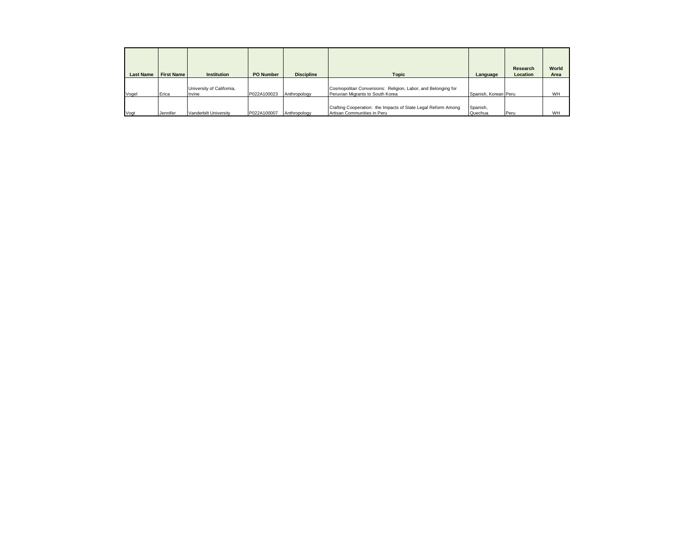| <b>Last Name</b> | <b>First Name</b> | <b>Institution</b>                  | <b>PO Number</b> | <b>Discipline</b> | <b>Topic</b>                                                                                     | Language             | Research<br>Location | World<br>Area |
|------------------|-------------------|-------------------------------------|------------------|-------------------|--------------------------------------------------------------------------------------------------|----------------------|----------------------|---------------|
|                  |                   |                                     |                  |                   |                                                                                                  |                      |                      |               |
| Vogel            | Erica             | University of California,<br>Irvine | P022A100023      | Anthropology      | Cosmopolitan Conversions: Religion, Labor, and Belonging for<br>Peruvian Migrants to South Korea | Spanish, Korean Peru |                      | WH            |
|                  |                   |                                     |                  |                   | Crafting Cooperation: the Impacts of State Legal Reform Among                                    | Spanish,             |                      |               |
| Vogt             | Jennifer          | Vanderbilt University               | P022A100007      | Anthropology      | Artisan Communities in Peru                                                                      | Quechua              | Peru                 | WH            |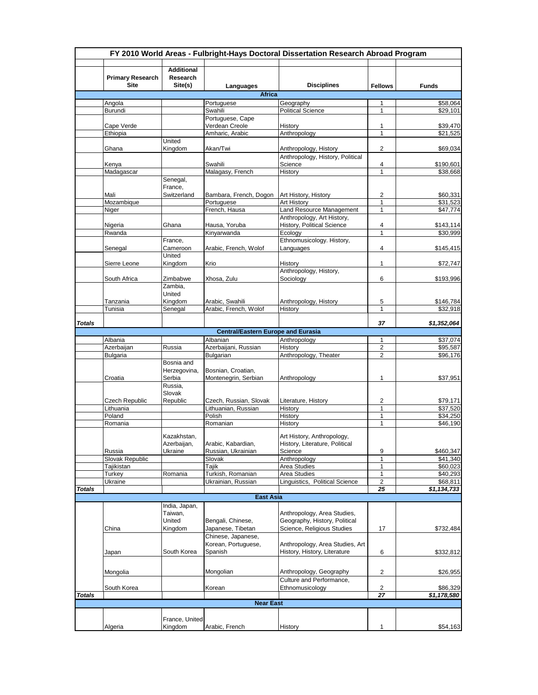|               | FY 2010 World Areas - Fulbright-Hays Doctoral Dissertation Research Abroad Program |                                          |                                           |                                                              |                         |                            |  |  |  |
|---------------|------------------------------------------------------------------------------------|------------------------------------------|-------------------------------------------|--------------------------------------------------------------|-------------------------|----------------------------|--|--|--|
|               | <b>Primary Research</b><br><b>Site</b>                                             | <b>Additional</b><br>Research<br>Site(s) | Languages                                 | <b>Disciplines</b>                                           | <b>Fellows</b>          | <b>Funds</b>               |  |  |  |
|               |                                                                                    |                                          | <b>Africa</b>                             |                                                              |                         |                            |  |  |  |
|               | Angola                                                                             |                                          | Portuguese                                | Geography                                                    | 1                       | \$58,064                   |  |  |  |
|               | Burundi                                                                            |                                          | Swahili                                   | <b>Political Science</b>                                     | $\mathbf{1}$            | \$29,101                   |  |  |  |
|               |                                                                                    |                                          | Portuguese, Cape                          |                                                              |                         |                            |  |  |  |
|               | Cape Verde                                                                         |                                          | Verdean Creole                            | History                                                      | 1                       | \$39,470                   |  |  |  |
|               | Ethiopia                                                                           |                                          | Amharic, Arabic                           | Anthropology                                                 | $\mathbf{1}$            | \$21,525                   |  |  |  |
|               |                                                                                    | United                                   |                                           |                                                              |                         |                            |  |  |  |
|               | Ghana                                                                              | Kingdom                                  | Akan/Twi                                  | Anthropology, History<br>Anthropology, History, Political    | $\overline{2}$          | \$69,034                   |  |  |  |
|               | Kenya                                                                              |                                          | Swahili                                   | Science                                                      | 4                       | \$190,601                  |  |  |  |
|               | Madagascar                                                                         |                                          | Malagasy, French                          | History                                                      | $\mathbf{1}$            | \$38,668                   |  |  |  |
|               |                                                                                    | Senegal,                                 |                                           |                                                              |                         |                            |  |  |  |
|               |                                                                                    | France,                                  |                                           |                                                              |                         |                            |  |  |  |
|               | Mali                                                                               | Switzerland                              | Bambara, French, Dogon                    | Art History, History                                         | 2                       | \$60,331                   |  |  |  |
|               | Mozambique                                                                         |                                          | Portuguese                                | Art History                                                  | 1                       | \$31,523                   |  |  |  |
|               | Niger                                                                              |                                          | French, Hausa                             | Land Resource Management                                     | $\mathbf{1}$            | \$47,774                   |  |  |  |
|               |                                                                                    |                                          |                                           | Anthropology, Art History,                                   |                         |                            |  |  |  |
|               | Nigeria                                                                            | Ghana                                    | Hausa, Yoruba                             | History, Political Science                                   | 4                       | \$143,114                  |  |  |  |
|               | Rwanda                                                                             |                                          | Kinyarwanda                               | Ecology                                                      | $\mathbf{1}$            | \$30,999                   |  |  |  |
|               |                                                                                    | France,                                  |                                           | Ethnomusicology. History,                                    |                         |                            |  |  |  |
|               | Senegal                                                                            | Cameroon<br>United                       | Arabic, French, Wolof                     | Languages                                                    | 4                       | \$145,415                  |  |  |  |
|               | Sierre Leone                                                                       | Kingdom                                  | Krio                                      | History                                                      | $\mathbf{1}$            | \$72,747                   |  |  |  |
|               |                                                                                    |                                          |                                           | Anthropology, History,                                       |                         |                            |  |  |  |
|               | South Africa                                                                       | Zimbabwe                                 | Xhosa, Zulu                               | Sociology                                                    | 6                       | \$193,996                  |  |  |  |
|               |                                                                                    | Zambia.                                  |                                           |                                                              |                         |                            |  |  |  |
|               |                                                                                    | United                                   |                                           |                                                              |                         |                            |  |  |  |
|               | Tanzania                                                                           | Kingdom                                  | Arabic, Swahili                           | Anthropology, History                                        | 5                       | \$146,784                  |  |  |  |
|               | Tunisia                                                                            | Senegal                                  | Arabic, French, Wolof                     | History                                                      | $\mathbf{1}$            | \$32,918                   |  |  |  |
|               |                                                                                    |                                          |                                           |                                                              |                         |                            |  |  |  |
| <b>Totals</b> |                                                                                    |                                          |                                           |                                                              | 37                      | \$1,352,064                |  |  |  |
|               |                                                                                    |                                          | <b>Central/Eastern Europe and Eurasia</b> |                                                              |                         |                            |  |  |  |
|               | Albania                                                                            |                                          | Albanian                                  | Anthropology                                                 | 1                       | \$37,074                   |  |  |  |
|               | Azerbaijan                                                                         | Russia                                   | Azerbaijani, Russian                      | History<br>Anthropology, Theater                             | 2                       | \$95,587                   |  |  |  |
|               | <b>Bulgaria</b>                                                                    | Bosnia and                               | Bulgarian                                 |                                                              | $\overline{2}$          | \$96,176                   |  |  |  |
|               |                                                                                    | Herzegovina,                             | Bosnian, Croatian,                        |                                                              |                         |                            |  |  |  |
|               | Croatia                                                                            | Serbia                                   | Montenegrin, Serbian                      | Anthropology                                                 | $\mathbf{1}$            | \$37,951                   |  |  |  |
|               |                                                                                    | Russia,                                  |                                           |                                                              |                         |                            |  |  |  |
|               |                                                                                    | Slovak                                   |                                           |                                                              |                         |                            |  |  |  |
|               | Czech Republic                                                                     | Republic                                 | Czech, Russian, Slovak                    | Literature, History                                          | 2                       | \$79,171                   |  |  |  |
|               | Lithuania                                                                          |                                          | Lithuanian, Russian                       | History                                                      | $\mathbf{1}$            | \$37,520                   |  |  |  |
|               | Poland                                                                             |                                          | Polish                                    | History                                                      | $\mathbf{1}$            | \$34,250                   |  |  |  |
|               | Romania                                                                            |                                          | Romanian                                  | History                                                      | 1                       | \$46,190                   |  |  |  |
|               |                                                                                    | Kazakhstan.                              |                                           | Art History, Anthropology,                                   |                         |                            |  |  |  |
|               |                                                                                    | Azerbaijan,                              | Arabic, Kabardian,                        | History, Literature, Political                               |                         |                            |  |  |  |
|               | Russia                                                                             | Ukraine                                  | Russian, Ukrainian                        | Science                                                      | 9                       | \$460,347                  |  |  |  |
|               | Slovak Republic                                                                    |                                          | Slovak                                    | Anthropology                                                 | 1                       | \$41,340                   |  |  |  |
|               | Tajikistan                                                                         |                                          | Tajik                                     | Area Studies                                                 | 1                       | \$60,023                   |  |  |  |
|               | Turkey                                                                             | Romania                                  | Turkish, Romanian                         | Area Studies                                                 | $\mathbf{1}$            | \$40,293                   |  |  |  |
|               | Ukraine                                                                            |                                          | Ukrainian, Russian                        | Linguistics, Political Science                               | 2                       | \$68,811                   |  |  |  |
| Totals        |                                                                                    |                                          |                                           |                                                              | 25                      | $\overline{51}$ , 134, 733 |  |  |  |
|               |                                                                                    |                                          | <b>East Asia</b>                          |                                                              |                         |                            |  |  |  |
|               |                                                                                    | India, Japan,                            |                                           |                                                              |                         |                            |  |  |  |
|               |                                                                                    | Taiwan,<br>United                        | Bengali, Chinese,                         | Anthropology, Area Studies,<br>Geography, History, Political |                         |                            |  |  |  |
|               | China                                                                              | Kingdom                                  | Japanese, Tibetan                         | Science, Religious Studies                                   | 17                      | \$732,484                  |  |  |  |
|               |                                                                                    |                                          | Chinese, Japanese,                        |                                                              |                         |                            |  |  |  |
|               |                                                                                    |                                          | Korean, Portuguese,                       | Anthropology, Area Studies, Art                              |                         |                            |  |  |  |
|               | Japan                                                                              | South Korea                              | Spanish                                   | History, History, Literature                                 | 6                       | \$332,812                  |  |  |  |
|               |                                                                                    |                                          |                                           |                                                              |                         |                            |  |  |  |
|               |                                                                                    |                                          |                                           |                                                              |                         |                            |  |  |  |
|               | Mongolia                                                                           |                                          | Mongolian                                 | Anthropology, Geography                                      | $\overline{\mathbf{c}}$ | \$26,955                   |  |  |  |
|               |                                                                                    |                                          |                                           | Culture and Performance,                                     |                         |                            |  |  |  |
|               | South Korea                                                                        |                                          | Korean                                    | Ethnomusicology                                              | 2                       | \$86,329                   |  |  |  |
| <b>Totals</b> |                                                                                    |                                          |                                           |                                                              | 27                      | $\overline{$1,178,580}$    |  |  |  |
|               |                                                                                    |                                          | <b>Near East</b>                          |                                                              |                         |                            |  |  |  |
|               |                                                                                    | France, United                           |                                           |                                                              |                         |                            |  |  |  |
|               | Algeria                                                                            | Kingdom                                  | Arabic, French                            | History                                                      | 1                       | \$54,163                   |  |  |  |
|               |                                                                                    |                                          |                                           |                                                              |                         |                            |  |  |  |